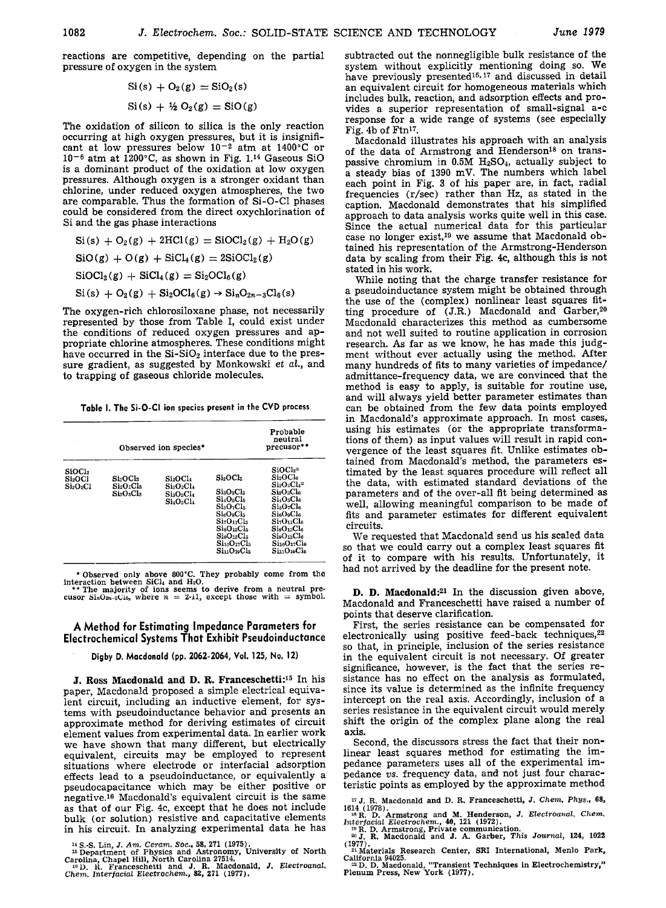reactions are competitive, depending on the partial pressure of oxygen in the system

$$
Si(s) + O_2(g) = SiO_2(s)
$$
  

$$
Si(s) + \frac{1}{2}O_2(g) = SiO(g)
$$

The oxidation of silicon to silica is the only reaction occurring at high oxygen pressures, but it is insignificant at low pressures below  $10^{-2}$  atm at  $1400^{\circ}$ C or  $10^{-6}$  atm at  $1200^{\circ}$ C, as shown in Fig. 1.<sup>14</sup> Gaseous SiO is a dominant product of the oxidation at low oxygen pressures. Although oxygen is a stronger oxidant than chlorine, under reduced oxygen atmospheres, the two are comparable. Thus the formation of Si-O-C1 phases could be considered from the direct oxychlorination of Si and the gas phase interactions

 $Si(s) + O_2(g) + 2HCl(g) = SiOCl_2(g) + H_2O(g)$  $\text{SiO}(g) + \text{O}(g) + \text{SiCl}_4(g) = 2\text{SiOCl}_2(g)$  $\text{SiOCl}_2(g) + \text{SiCl}_4(g) = \text{Si}_2\text{OCl}_6(g)$  $\text{Si}(s) + \text{O}_2(g) + \text{Si}_2\text{OCl}_6(g) \rightarrow \text{Si}_n\text{O}_{2n-3}\text{Cl}_6(s)$ 

The oxygen-rich chlorosiloxane phase, not necessarily represented by those from Table I, could exist under the conditions of reduced oxygen pressures and appropriate chlorine atmospheres. These conditions might have occurred in the  $Si-SiO<sub>2</sub>$  interface due to the pressure gradient, as suggested by Monkowski *et al.,* and to trapping of gaseous chloride molecules.

**Table I. The Si-O-CI ion species present in the CVD process** 

| Observed ion species*                                             |                                      |                                                                           |                                                                                                                                                                                                                      | Probable<br>neutral<br>precusor**                                                                                                                                                                                                                                                                   |
|-------------------------------------------------------------------|--------------------------------------|---------------------------------------------------------------------------|----------------------------------------------------------------------------------------------------------------------------------------------------------------------------------------------------------------------|-----------------------------------------------------------------------------------------------------------------------------------------------------------------------------------------------------------------------------------------------------------------------------------------------------|
| SiOCl <sub>2</sub><br>Si2OCl<br>Si <sub>2</sub> O <sub>2</sub> Cl | Si:OCla<br>$Si_2O_2Cl_3$<br>Si:O:Cl2 | Si2OCl4<br>$Si_2O_2Cl_4$<br>Si:O <sub>3</sub> Cl <sub>4</sub><br>Si4O5Cl4 | Si <sub>2</sub> OCl <sub>5</sub><br>$Si_3O_3Cl_5$<br>$Si_4O_5Cl_5$<br>$Si5O7Cl5$<br>$SieO_9Cl_5$<br>$Si_7O_{11}Cl_5$<br>SisO:CL <sub>5</sub><br>$Si_9O_{15}Cl_5$<br>S110017C15<br>SinO <sub>19</sub> Cl <sub>5</sub> | $SiOCl2$ =<br>Si <sub>2</sub> OCl <sub>6</sub><br>$Si2O2Cl4$ =<br>Si:O:Cle<br>Si <sub>4</sub> Os <sub>Cl</sub><br>$Si$ <sub>5</sub> O <sub>7</sub> Cl <sub>6</sub><br><b>SisOaCle</b><br>$Si7O11Cl6$<br>$Si$ s $O$ 13 $Cl6$<br>$Si_9O_{15}Cl_6$<br>S110017C16<br>SinO <sub>19</sub> Cl <sub>6</sub> |

\* Observed only above 800°C. They probably come from the interaction between SiCl<sub>4</sub> and H<sub>2</sub>O.<br>\*\* The majority of ions seems to derive from a neutral pre-<br>\*\* The majority of ions seems to derive from a neutral pre-<br>cusor

## **A Method for Estimating Impedance Parameters for Electrochemical Systems That Exhibit Pseudoinductance**

**Digby D. Macdonald (pp. 2062-2064, VoL 125, No. 12)** 

**J. Ross Macdonald and D. R. Franceschetti:<sup>15</sup> In his** paper, Macdonald proposed a simple electrical equivalent circuit, including an inductive element, for systems with pseudoinduetance behavior and presents an approximate method for deriving estimates of circuit element values from experimental data. In earlier work we have shown that many different, but electrically equivalent, circuits may be employed to represent situations where electrode or interfacial adsorption effects lead to a pseudoinductanee, or equivalently a pseudoeapacitance which may be either positive or negative.<sup>16</sup> Macdonald's equivalent circuit is the same as that of our Fig. 4c, except that he does not include bulk (or solution) resistive and capacitative elements in his circuit. In analyzing experimental data he has

<sup>14</sup> S.-S. Lin, J. Am. Ceram. Soc., 58, 271 (1975).<br><sup>15</sup> Department of Physics and Astronomy, University of North<br>Carolina, Chapel Hill, North Carolina 27514.<br><sup>19</sup> D. R. Franceschetti and J. R. Macdonald, J. Electroanal.<br>

subtracted out the nonnegligible bulk resistance of the system without explicitly mentioning doing so. We have previously presented $16, 17$  and discussed in detail an equivalent circuit for homogeneous materials which includes bulk, reaction, and adsorption effects and provides a superior representation of small-signal a-c response for a wide range of systems (see especially Fig. 4b of Ftn17.

Macdonald illustrates his approach with an analysis of the data of Armstrong and Henderson<sup>18</sup> on transpassive chromium in 0.5M H2SO4, actually subject to a steady bias of 1390 mV. The numbers which label each point in Fig: 3 of his paper are, in fact, radial frequencies (r/sec) rather than Hz, as stated in the caption. Macdonald demonstrates that his simplified approach to data analysis works quite well in this case. Since the actual numerical data for this particular case no longer exist,<sup>19</sup> we assume that Macdonald obtained his representation of the Armstrong-Henderson data by scaling from their Fig. 4c, although this is not stated in his work.

While noting that the charge transfer resistance for a pseudoinductance system might be obtained through the use of the (complex) nonlinear least squares fitting procedure of  $(J.R.)$  Macdonald and Garber,<sup>20</sup> Macdonald characterizes this method as cumbersome and not well suited to routine application in corrosion research. As far as we know, he has made this judgment without ever actually using the method. After many hundreds of fits to many varieties of impedance/ admittance-frequency data, we are convinced that the method is easy to apply, is suitable for routine use, and will always yield better parameter estimates than can be obtained from the few data points employed in Macdonald's approximate approach. In most cases, using his estimates (or the appropriate transformations of them) as input values will result in rapid convergence of the least squares fit. Unlike estimates obtained from Macdonald's method, the parameters estimated by the least squares procedure will reflect all the data, with estimated standard deviations of the parameters and of the over-all fit being determined as well, allowing meaningful comparison to be made of fits and parameter estimates for different equivalent circuits.

We requested that Macdonald send us his scaled data so that we could carry out a complex least squares fit of it to compare with his results. Unfortunately, it had not arrived by the deadline for the present note.

**D. D. Macdonald:**<sup>21</sup> In the discussion given above, Macdonald and Franceschetti have raised a number of points that deserve clarification.

First, the series resistance can be compensated for electronically using positive feed-back techniques,<sup>22</sup> so that, in principle, inclusion of the series resistance in the equivalent circuit is not necessary. Of greater significance, however, is the fact that the series resistance has no effect on the analysis as formulated, since its value is determined as the infinite frequency intercept on the real axis. Accordingly, inclusion of a series resistance in the equivalent circuit would merely shift the origin of the complex plane along the real **axis.** 

Second, the diseussors stress the fact that their nonlinear least squares method for estimating the impedance parameters uses all of the experimental impedance *vs.* frequency data, and not just four characteristic points as employed by the approximate method

1~ j. R. **Macdonald and** D. R. Franceschetti, J. *Chem. Phys.,* 68,

<sup>1614</sup> (1978).<br>
<sup>14</sup> R. D. Armstrong and M. Henderson, J. Electroanal. Chem.<br>
<sup>14</sup> R. D. Armstrong, Private communication.<br>
<sup>19</sup> R. D. Armstrong, Private communication.<br>
20 J. R. Macdonald and J. A. Garber, This Journal, 1

(1977). Materials Research Center, SRI International, Menlo Park,

California 94025.<br><sup>22</sup> D. D. Macdonald, "Transient Techniques in Electrochemistry**,"**<br>Plenum Press, New York (1977)*.*